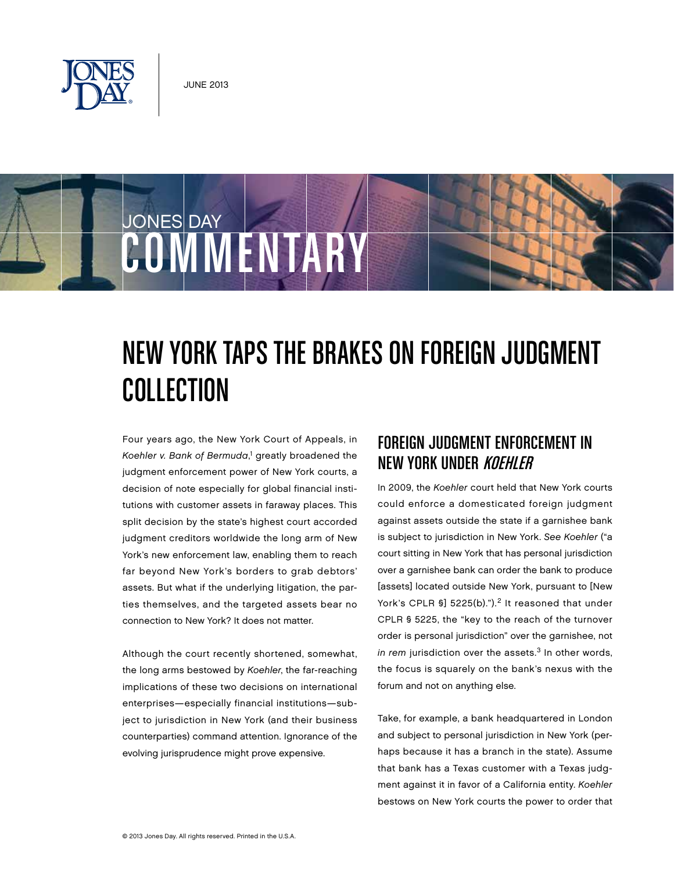

JONES DAY

# New York Taps the Brakes on Foreign Judgment **COLLECTION**

Four years ago, the New York Court of Appeals, in Koehler v. Bank of Bermuda,<sup>1</sup> greatly broadened the judgment enforcement power of New York courts, a decision of note especially for global financial institutions with customer assets in faraway places. This split decision by the state's highest court accorded judgment creditors worldwide the long arm of New York's new enforcement law, enabling them to reach far beyond New York's borders to grab debtors' assets. But what if the underlying litigation, the parties themselves, and the targeted assets bear no connection to New York? It does not matter.

COMMENTARY

Although the court recently shortened, somewhat, the long arms bestowed by Koehler, the far-reaching implications of these two decisions on international enterprises—especially financial institutions—subject to jurisdiction in New York (and their business counterparties) command attention. Ignorance of the evolving jurisprudence might prove expensive.

# Foreign Judgment Enforcement in NEW YORK UNDER KOEHLER

In 2009, the Koehler court held that New York courts could enforce a domesticated foreign judgment against assets outside the state if a garnishee bank is subject to jurisdiction in New York. See Koehler ("a court sitting in New York that has personal jurisdiction over a garnishee bank can order the bank to produce [assets] located outside New York, pursuant to [New York's CPLR  $\S$ ] 5225(b).").<sup>2</sup> It reasoned that under CPLR § 5225, the "key to the reach of the turnover order is personal jurisdiction" over the garnishee, not in rem jurisdiction over the assets. $3$  In other words, the focus is squarely on the bank's nexus with the forum and not on anything else.

Take, for example, a bank headquartered in London and subject to personal jurisdiction in New York (perhaps because it has a branch in the state). Assume that bank has a Texas customer with a Texas judgment against it in favor of a California entity. Koehler bestows on New York courts the power to order that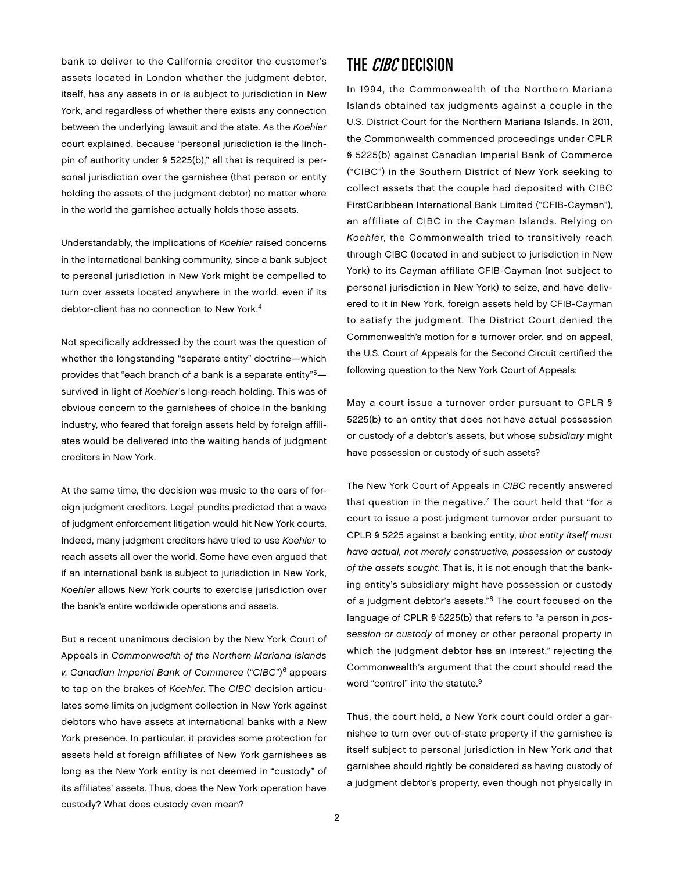bank to deliver to the California creditor the customer's assets located in London whether the judgment debtor, itself, has any assets in or is subject to jurisdiction in New York, and regardless of whether there exists any connection between the underlying lawsuit and the state. As the Koehler court explained, because "personal jurisdiction is the linchpin of authority under § 5225(b)," all that is required is personal jurisdiction over the garnishee (that person or entity holding the assets of the judgment debtor) no matter where in the world the garnishee actually holds those assets.

Understandably, the implications of Koehler raised concerns in the international banking community, since a bank subject to personal jurisdiction in New York might be compelled to turn over assets located anywhere in the world, even if its debtor-client has no connection to New York.<sup>4</sup>

Not specifically addressed by the court was the question of whether the longstanding "separate entity" doctrine—which provides that "each branch of a bank is a separate entity"5 survived in light of Koehler's long-reach holding. This was of obvious concern to the garnishees of choice in the banking industry, who feared that foreign assets held by foreign affiliates would be delivered into the waiting hands of judgment creditors in New York.

At the same time, the decision was music to the ears of foreign judgment creditors. Legal pundits predicted that a wave of judgment enforcement litigation would hit New York courts. Indeed, many judgment creditors have tried to use Koehler to reach assets all over the world. Some have even argued that if an international bank is subject to jurisdiction in New York, Koehler allows New York courts to exercise jurisdiction over the bank's entire worldwide operations and assets.

But a recent unanimous decision by the New York Court of Appeals in Commonwealth of the Northern Mariana Islands v. Canadian Imperial Bank of Commerce ("CIBC")6 appears to tap on the brakes of Koehler. The CIBC decision articulates some limits on judgment collection in New York against debtors who have assets at international banks with a New York presence. In particular, it provides some protection for assets held at foreign affiliates of New York garnishees as long as the New York entity is not deemed in "custody" of its affiliates' assets. Thus, does the New York operation have custody? What does custody even mean?

### THE *CIBC* DECISION

In 1994, the Commonwealth of the Northern Mariana Islands obtained tax judgments against a couple in the U.S. District Court for the Northern Mariana Islands. In 2011, the Commonwealth commenced proceedings under CPLR § 5225(b) against Canadian Imperial Bank of Commerce ("CIBC") in the Southern District of New York seeking to collect assets that the couple had deposited with CIBC FirstCaribbean International Bank Limited ("CFIB-Cayman"), an affiliate of CIBC in the Cayman Islands. Relying on Koehler, the Commonwealth tried to transitively reach through CIBC (located in and subject to jurisdiction in New York) to its Cayman affiliate CFIB-Cayman (not subject to personal jurisdiction in New York) to seize, and have delivered to it in New York, foreign assets held by CFIB-Cayman to satisfy the judgment. The District Court denied the Commonwealth's motion for a turnover order, and on appeal, the U.S. Court of Appeals for the Second Circuit certified the following question to the New York Court of Appeals:

May a court issue a turnover order pursuant to CPLR § 5225(b) to an entity that does not have actual possession or custody of a debtor's assets, but whose subsidiary might have possession or custody of such assets?

The New York Court of Appeals in CIBC recently answered that question in the negative. $7$  The court held that "for a court to issue a post-judgment turnover order pursuant to CPLR § 5225 against a banking entity, that entity itself must have actual, not merely constructive, possession or custody of the assets sought. That is, it is not enough that the banking entity's subsidiary might have possession or custody of a judgment debtor's assets."8 The court focused on the language of CPLR § 5225(b) that refers to "a person in possession or custody of money or other personal property in which the judgment debtor has an interest," rejecting the Commonwealth's argument that the court should read the word "control" into the statute.<sup>9</sup>

Thus, the court held, a New York court could order a garnishee to turn over out-of-state property if the garnishee is itself subject to personal jurisdiction in New York and that garnishee should rightly be considered as having custody of a judgment debtor's property, even though not physically in